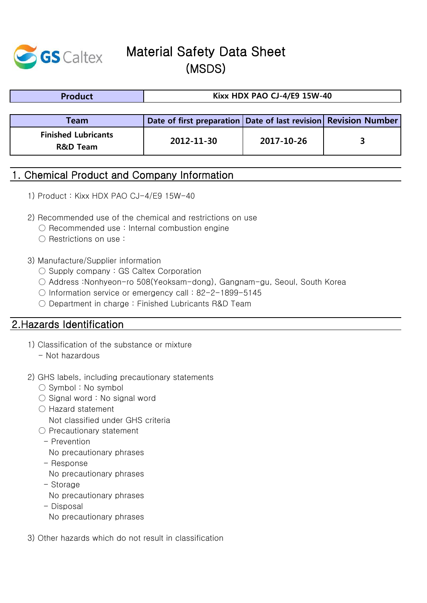

# Material Safety Data Sheet (MSDS)

| <b>Product</b>                                    | <b>Kixx HDX PAO CJ-4/E9 15W-40</b>                                  |            |  |  |
|---------------------------------------------------|---------------------------------------------------------------------|------------|--|--|
|                                                   |                                                                     |            |  |  |
| Team                                              | Date of first preparation   Date of last revision   Revision Number |            |  |  |
| <b>Finished Lubricants</b><br><b>R&amp;D Team</b> | 2012-11-30                                                          | 2017-10-26 |  |  |

### 1. Chemical Product and Company Information

- 1) Product : Kixx HDX PAO CJ-4/E9 15W-40
- 2) Recommended use of the chemical and restrictions on use
	- Recommended use : Internal combustion engine
	- Restrictions on use :
- 3) Manufacture/Supplier information
	- Supply company : GS Caltex Corporation
	- Address :Nonhyeon-ro 508(Yeoksam-dong), Gangnam-gu, Seoul, South Korea
	- Information service or emergency call : 82-2-1899-5145
	- Department in charge: Finished Lubricants R&D Team

### 2.Hazards Identification

- 1) Classification of the substance or mixture
	- Not hazardous
- 2) GHS labels, including precautionary statements
	- Symbol : No symbol
	- $\bigcirc$  Signal word : No signal word
	- Hazard statement
		- Not classified under GHS criteria
	- Precautionary statement
		- Prevention
		- No precautionary phrases
		- Response
		- No precautionary phrases
		- Storage No precautionary phrases
		- Disposal No precautionary phrases
- 3) Other hazards which do not result in classification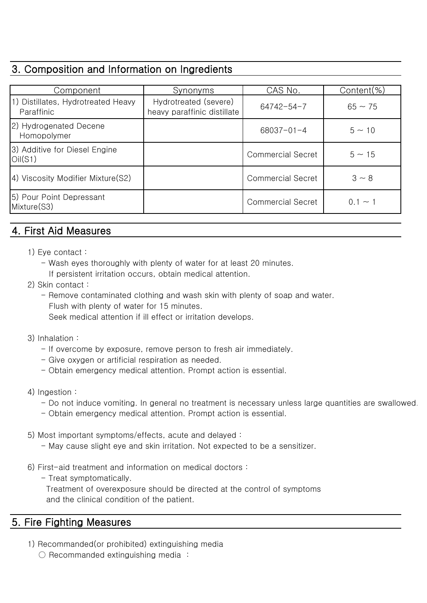# 3. Composition and Information on Ingredients

| Component                                             | Synonyms                                             | CAS No.                  | Content $(\%)$ |
|-------------------------------------------------------|------------------------------------------------------|--------------------------|----------------|
| 1) Distillates, Hydrotreated Heavy<br>Paraffinic      | Hydrotreated (severe)<br>heavy paraffinic distillate | $64742 - 54 - 7$         | $65 \sim 75$   |
| 2) Hydrogenated Decene<br>Homopolymer                 |                                                      | $68037 - 01 - 4$         | $5 \sim 10$    |
| 3) Additive for Diesel Engine<br>O <sub>II</sub> (S1) |                                                      | <b>Commercial Secret</b> | $5 \sim 15$    |
| 4) Viscosity Modifier Mixture(S2)                     |                                                      | <b>Commercial Secret</b> | $3 \sim 8$     |
| 5) Pour Point Depressant<br>Mixture(S3)               |                                                      | <b>Commercial Secret</b> | $0.1 \sim 1$   |

# 4. First Aid Measures

- 1) Eye contact :
	- Wash eyes thoroughly with plenty of water for at least 20 minutes. If persistent irritation occurs, obtain medical attention.
- 2) Skin contact :
	- Remove contaminated clothing and wash skin with plenty of soap and water. Flush with plenty of water for 15 minutes.

Seek medical attention if ill effect or irritation develops.

- 3) Inhalation :
	- If overcome by exposure, remove person to fresh air immediately.
	- Give oxygen or artificial respiration as needed.
	- Obtain emergency medical attention. Prompt action is essential.
- 4) Ingestion :
	- Do not induce vomiting. In general no treatment is necessary unless large quantities are swallowed.
	- Obtain emergency medical attention. Prompt action is essential.
- 5) Most important symptoms/effects, acute and delayed :
	- May cause slight eye and skin irritation. Not expected to be a sensitizer.
- 6) First-aid treatment and information on medical doctors :
	- Treat symptomatically.

 Treatment of overexposure should be directed at the control of symptoms and the clinical condition of the patient.

# 5. Fire Fighting Measures

- 1) Recommanded(or prohibited) extinguishing media
	- $\bigcirc$  Recommanded extinguishing media: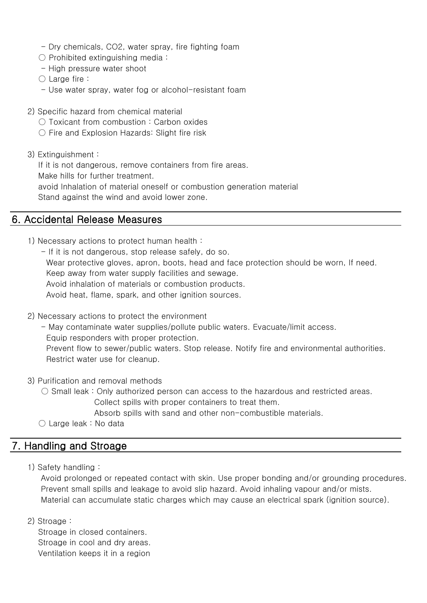- Dry chemicals, CO2, water spray, fire fighting foam
- $\bigcirc$  Prohibited extinguishing media:
- High pressure water shoot
- $\bigcirc$  Large fire :
- Use water spray, water fog or alcohol-resistant foam
- 2) Specific hazard from chemical material
	- Toxicant from combustion: Carbon oxides
	- Fire and Explosion Hazards: Slight fire risk
- 3) Extinguishment :

If it is not dangerous, remove containers from fire areas.

Make hills for further treatment.

avoid Inhalation of material oneself or combustion generation material

Stand against the wind and avoid lower zone.

### 6. Accidental Release Measures

- 1) Necessary actions to protect human health :
	- If it is not dangerous, stop release safely, do so. Wear protective gloves, apron, boots, head and face protection should be worn, If need. Keep away from water supply facilities and sewage. Avoid inhalation of materials or combustion products. Avoid heat, flame, spark, and other ignition sources.
- 2) Necessary actions to protect the environment
	- May contaminate water supplies/pollute public waters. Evacuate/limit access.
	- Equip responders with proper protection.

 Prevent flow to sewer/public waters. Stop release. Notify fire and environmental authorities. Restrict water use for cleanup.

- 3) Purification and removal methods
	- $\circ$  Small leak : Only authorized person can access to the hazardous and restricted areas. Collect spills with proper containers to treat them.

Absorb spills with sand and other non-combustible materials.

 $\bigcirc$  Large leak : No data

### 7. Handling and Stroage

1) Safety handling :

 Avoid prolonged or repeated contact with skin. Use proper bonding and/or grounding procedures. Prevent small spills and leakage to avoid slip hazard. Avoid inhaling vapour and/or mists. Material can accumulate static charges which may cause an electrical spark (ignition source).

2) Stroage :

 Stroage in closed containers. Stroage in cool and dry areas. Ventilation keeps it in a region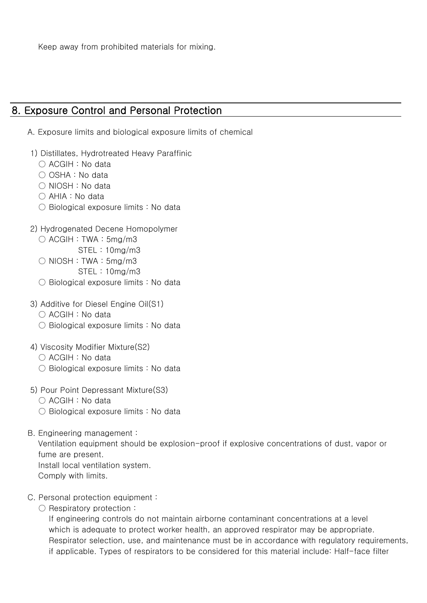Keep away from prohibited materials for mixing.

### 8. Exposure Control and Personal Protection

- A. Exposure limits and biological exposure limits of chemical
- 1) Distillates, Hydrotreated Heavy Paraffinic
	- ACGIH : No data
	- $\bigcirc$  OSHA : No data
	- NIOSH : No data
	- AHIA : No data
	- Biological exposure limits : No data
- 2) Hydrogenated Decene Homopolymer
	- $\bigcirc$  ACGIH : TWA : 5mg/m3
		- STEL : 10mg/m3
	- $\bigcirc$  NIOSH : TWA : 5mg/m3 STEL : 10mg/m3
	- Biological exposure limits : No data
- 3) Additive for Diesel Engine Oil(S1)
	- ACGIH : No data
	- Biological exposure limits : No data
- 4) Viscosity Modifier Mixture(S2)
	- ACGIH : No data
	- Biological exposure limits : No data
- 5) Pour Point Depressant Mixture(S3)
	- ACGIH : No data
	- Biological exposure limits : No data
- B. Engineering management :

 Ventilation equipment should be explosion-proof if explosive concentrations of dust, vapor or fume are present.

- Install local ventilation system.
- Comply with limits.
- C. Personal protection equipment :
	- Respiratory protection :

 If engineering controls do not maintain airborne contaminant concentrations at a level which is adequate to protect worker health, an approved respirator may be appropriate. Respirator selection, use, and maintenance must be in accordance with regulatory requirements, if applicable. Types of respirators to be considered for this material include: Half-face filter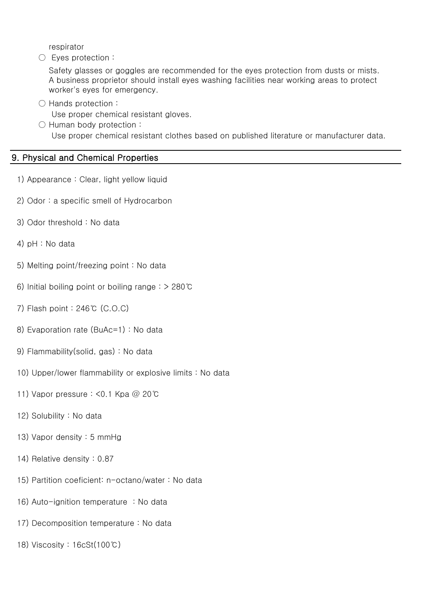respirator

○ Eyes protection :

 Safety glasses or goggles are recommended for the eyes protection from dusts or mists. A business proprietor should install eyes washing facilities near working areas to protect worker's eyes for emergency.

○ Hands protection :

Use proper chemical resistant gloves.

○ Human body protection : Use proper chemical resistant clothes based on published literature or manufacturer data.

#### 9. Physical and Chemical Properties

- 1) Appearance : Clear, light yellow liquid
- 2) Odor : a specific smell of Hydrocarbon
- 3) Odor threshold : No data
- 4) pH : No data
- 5) Melting point/freezing point : No data
- 6) Initial boiling point or boiling range : > 280℃
- 7) Flash point : 246℃ (C.O.C)
- 8) Evaporation rate (BuAc=1) : No data
- 9) Flammability(solid, gas) : No data
- 10) Upper/lower flammability or explosive limits : No data
- 11) Vapor pressure : <0.1 Kpa @ 20℃
- 12) Solubility : No data
- 13) Vapor density : 5 mmHg
- 14) Relative density : 0.87
- 15) Partition coeficient: n-octano/water : No data
- 16) Auto-ignition temperature : No data
- 17) Decomposition temperature : No data
- 18) Viscosity : 16cSt(100℃)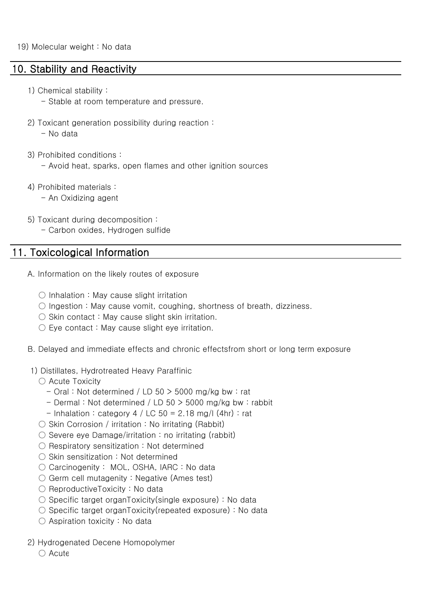### 10. Stability and Reactivity

- 1) Chemical stability :
	- Stable at room temperature and pressure.
- 2) Toxicant generation possibility during reaction :

- No data

- 3) Prohibited conditions :
	- Avoid heat, sparks, open flames and other ignition sources
- 4) Prohibited materials :
	- An Oxidizing agent
- 5) Toxicant during decomposition :
	- Carbon oxides, Hydrogen sulfide

### 11. Toxicological Information

- A. Information on the likely routes of exposure
	- $\bigcirc$  Inhalation : May cause slight irritation
	- $\circlearrowright$  Ingestion : May cause vomit, coughing, shortness of breath, dizziness.
	- $\bigcirc$  Skin contact: May cause slight skin irritation.
	- $\circlearrowright$  Eye contact : May cause slight eye irritation.
- B. Delayed and immediate effects and chronic effectsfrom short or long term exposure
- 1) Distillates, Hydrotreated Heavy Paraffinic
	- Acute Toxicity
		- $-$  Oral : Not determined / LD 50  $>$  5000 mg/kg bw : rat
		- Dermal : Not determined / LD 50 > 5000 mg/kg bw : rabbit
		- Inhalation : category  $4 / LC 50 = 2.18$  mg/l (4hr) : rat
	- $\circ$  Skin Corrosion / irritation : No irritating (Rabbit)
	- $\circ$  Severe eye Damage/irritation : no irritating (rabbit)
	- Respiratory sensitization : Not determined
	- Skin sensitization : Not determined
	- Carcinogenity : MOL, OSHA, IARC : No data
	- $\circlearrowright$  Germ cell mutagenity : Negative (Ames test)
	- ReproductiveToxicity : No data
	- $\circlearrowright$  Specific target organToxicity(single exposure) : No data
	- $\circlearrowright$  Specific target organToxicity(repeated exposure) : No data
	- $\bigcirc$  Aspiration toxicity : No data
- 2) Hydrogenated Decene Homopolymer

 $\bigcap$  Acute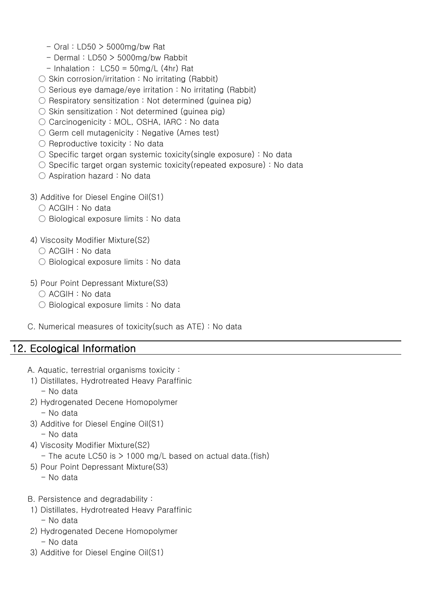- $-$  Oral : LD50  $>$  5000mg/bw Rat
- $-$  Dermal : LD50  $>$  5000mg/bw Rabbit
- $-$  Inhalation : LC50 = 50mg/L (4hr) Rat
- $\circ$  Skin corrosion/irritation : No irritating (Rabbit)
- $\circlearrowright$  Serious eye damage/eye irritation : No irritating (Rabbit)
- $\circlearrowright$  Respiratory sensitization : Not determined (guinea pig)
- $\bigcirc$  Skin sensitization : Not determined (guinea pig)
- Carcinogenicity : MOL, OSHA, IARC : No data
- $\circlearrowright$  Germ cell mutagenicity : Negative (Ames test)
- $\bigcirc$  Reproductive toxicity : No data
- $\circlearrowright$  Specific target organ systemic toxicity(single exposure) : No data
- $\circlearrowright$  Specific target organ systemic toxicity (repeated exposure) : No data
- Aspiration hazard : No data
- 3) Additive for Diesel Engine Oil(S1)
	- ACGIH : No data
	- Biological exposure limits : No data
- 4) Viscosity Modifier Mixture(S2)
	- ACGIH : No data
	- Biological exposure limits : No data
- 5) Pour Point Depressant Mixture(S3)
	- ACGIH : No data
	- Biological exposure limits : No data
- C. Numerical measures of toxicity(such as ATE) : No data

# 12. Ecological Information

- A. Aquatic, terrestrial organisms toxicity :
- 1) Distillates, Hydrotreated Heavy Paraffinic - No data
- 2) Hydrogenated Decene Homopolymer
	- No data
- 3) Additive for Diesel Engine Oil(S1) - No data
- 4) Viscosity Modifier Mixture(S2)
	- The acute LC50 is  $> 1000$  mg/L based on actual data.(fish)
- 5) Pour Point Depressant Mixture(S3)
	- No data
- B. Persistence and degradability :
- 1) Distillates, Hydrotreated Heavy Paraffinic - No data
- 2) Hydrogenated Decene Homopolymer
	- No data
- 3) Additive for Diesel Engine Oil(S1)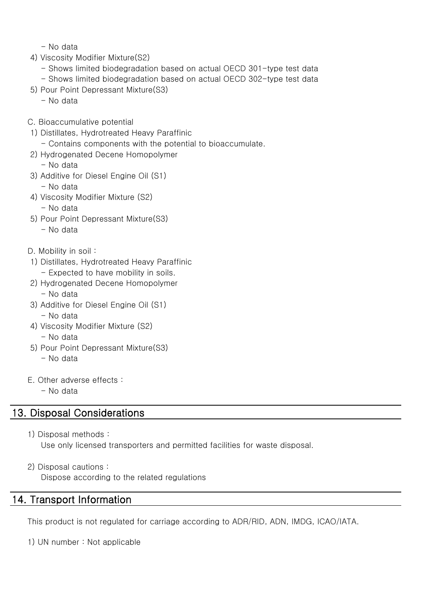- No data

- 4) Viscosity Modifier Mixture(S2)
	- Shows limited biodegradation based on actual OECD 301-type test data - Shows limited biodegradation based on actual OECD 302-type test data
- 5) Pour Point Depressant Mixture(S3)
	- No data
- C. Bioaccumulative potential
- 1) Distillates, Hydrotreated Heavy Paraffinic
	- Contains components with the potential to bioaccumulate.
- 2) Hydrogenated Decene Homopolymer
	- No data
- 3) Additive for Diesel Engine Oil (S1) - No data
- 4) Viscosity Modifier Mixture (S2)
	- No data
- 5) Pour Point Depressant Mixture(S3)
	- No data
- D. Mobility in soil :
- 1) Distillates, Hydrotreated Heavy Paraffinic - Expected to have mobility in soils.
- 2) Hydrogenated Decene Homopolymer - No data
- 3) Additive for Diesel Engine Oil (S1) - No data
- 4) Viscosity Modifier Mixture (S2)
	- No data
- 5) Pour Point Depressant Mixture(S3)
	- No data
- E. Other adverse effects :
	- No data

# 13. Disposal Considerations

1) Disposal methods :

Use only licensed transporters and permitted facilities for waste disposal.

2) Disposal cautions :

Dispose according to the related regulations

### 14. Transport Information

This product is not regulated for carriage according to ADR/RID, ADN, IMDG, ICAO/IATA.

1) UN number : Not applicable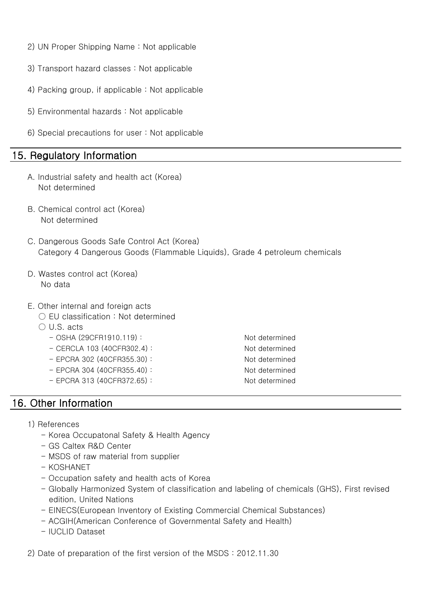- 2) UN Proper Shipping Name : Not applicable
- 3) Transport hazard classes : Not applicable
- 4) Packing group, if applicable : Not applicable
- 5) Environmental hazards : Not applicable
- 6) Special precautions for user : Not applicable

### 15. Regulatory Information

- A. Industrial safety and health act (Korea) Not determined
- B. Chemical control act (Korea) Not determined
- C. Dangerous Goods Safe Control Act (Korea) Category 4 Dangerous Goods (Flammable Liquids), Grade 4 petroleum chemicals
- D. Wastes control act (Korea) No data
- E. Other internal and foreign acts
	- EU classification : Not determined
	- U.S. acts
		- OSHA (29CFR1910.119) : Not determined
		- CERCLA 103 (40CFR302.4) : Not determined
		- EPCRA 302 (40CFR355.30) : Not determined
		- EPCRA 304 (40CFR355.40) : Not determined
		- EPCRA 313 (40CFR372.65) : Not determined

### 16. Other Information

- 1) References
	- Korea Occupatonal Safety & Health Agency
	- GS Caltex R&D Center
	- MSDS of raw material from supplier
	- KOSHANET
	- Occupation safety and health acts of Korea
	- Globally Harmonized System of classification and labeling of chemicals (GHS), First revised edition, United Nations
	- EINECS(European Inventory of Existing Commercial Chemical Substances)
	- ACGIH(American Conference of Governmental Safety and Health)
	- IUCLID Dataset

2) Date of preparation of the first version of the MSDS : 2012.11.30